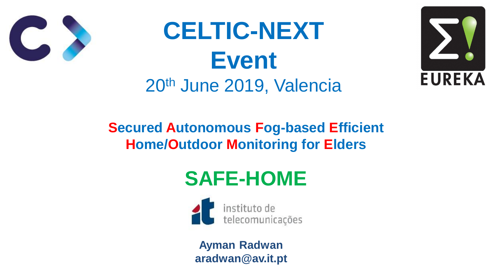### **Secured Autonomous Fog-based Efficient Home/Outdoor Monitoring for Elders**





## **SAFE-HOME**

telecomunicações

# **CELTIC-NEXT Event** 20th June 2019, Valencia



**Ayman Radwan aradwan@av.it.pt**

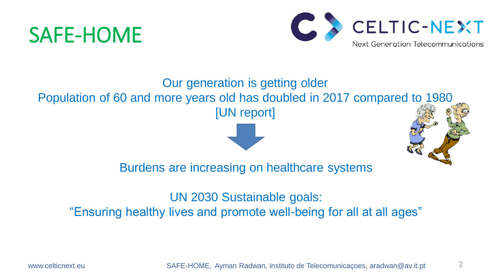Our generation is getting older Population of 60 and more years old has doubled in 2017 compared to 1980 [UN report]



Burdens are increasing on healthcare systems

UN 2030 Sustainable goals: "Ensuring healthy lives and promote well-being for all at all ages"

www.celticnext.eu 
SAFE-HOME, Ayman Radwan, Instituto de Telecomunicaçoes, aradwan@av.it.pt



## SAFE-HOME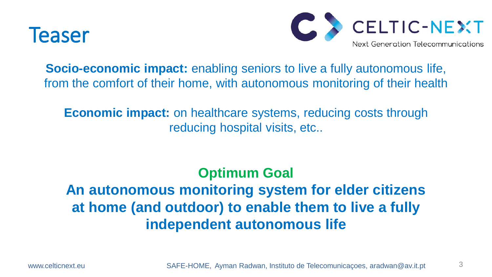



- **Socio-economic impact:** enabling seniors to live a fully autonomous life, from the comfort of their home, with autonomous monitoring of their health
	- **Economic impact:** on healthcare systems, reducing costs through reducing hospital visits, etc..

**Optimum Goal An autonomous monitoring system for elder citizens at home (and outdoor) to enable them to live a fully independent autonomous life**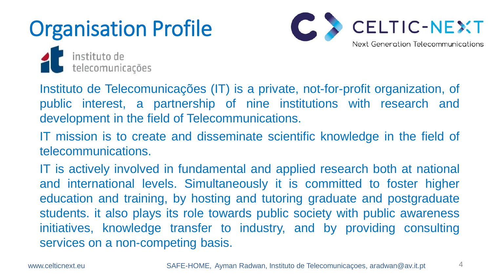# Organisation Profile



instituto de<br>telecomunicações

development in the field of Telecommunications.

telecommunications.

services on a non-competing basis.



- Instituto de Telecomunicações (IT) is a private, not-for-profit organization, of public interest, a partnership of nine institutions with research and
- IT mission is to create and disseminate scientific knowledge in the field of
- IT is actively involved in fundamental and applied research both at national and international levels. Simultaneously it is committed to foster higher education and training, by hosting and tutoring graduate and postgraduate students. it also plays its role towards public society with public awareness initiatives, knowledge transfer to industry, and by providing consulting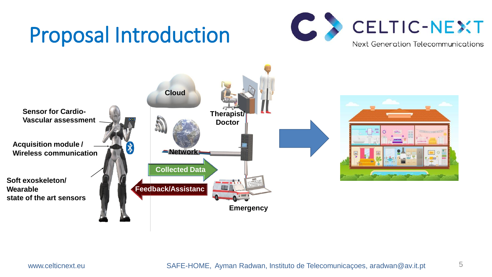## Proposal Introduction





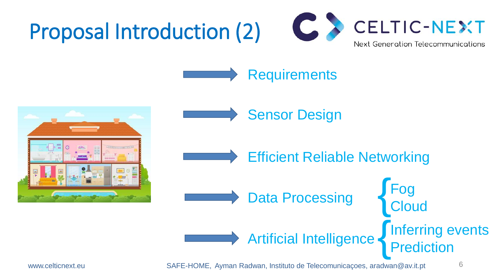## Proposal Introduction (2)





### Requirements

Sensor Design

Data Processing

www.celticnext.eu SAFE-HOME, Ayman Radwan, Instituto de Telecomunicaçoes, aradwan@av.it.pt 6

Fog

{

{

**Cloud** 

## Artificial Intelligence



Prediction

### Efficient Reliable Networking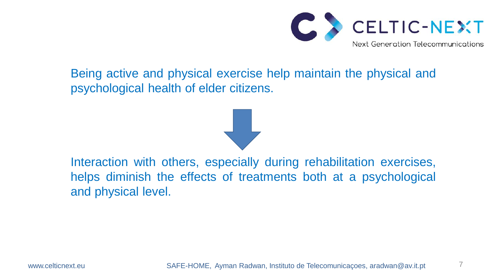Being active and physical exercise help maintain the physical and

psychological health of elder citizens.

Interaction with others, especially during rehabilitation exercises, helps diminish the effects of treatments both at a psychological

and physical level.

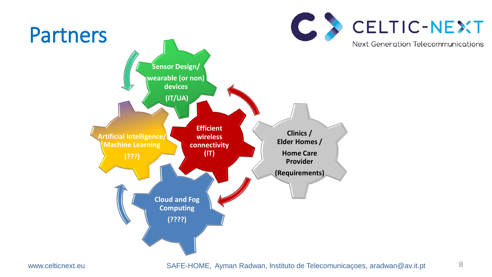



**Clinics / Elder Homes / Home Care Provider (Requirements)**